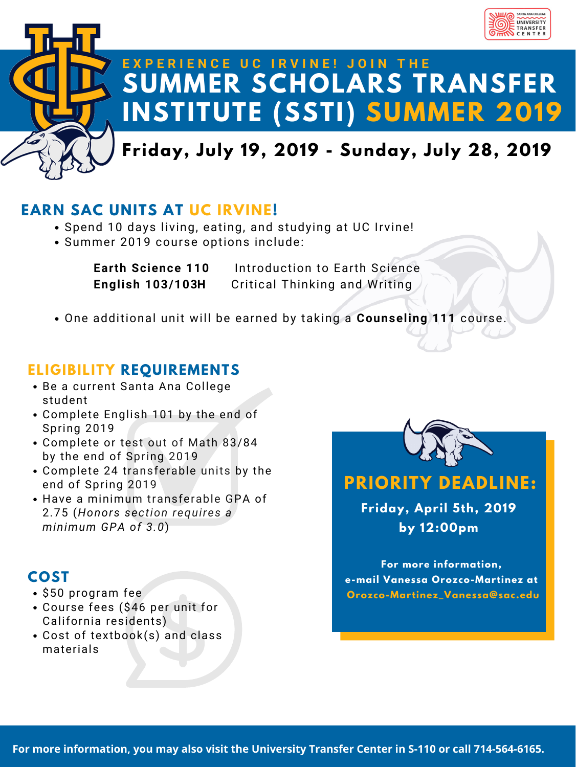

# **SUMMER SCHOLARS TRANSFER INSTITUTE (SSTI) SUMMER 2019 E X P E R I E N C E U C I R V I N E ! J O I N T H E**

## **Friday, July 19, 2019 - Sunday, July 28, 2019**

### **EARN SAC UNITS AT UC IRVINE!**

- Spend 10 days living, eating, and studying at UC Irvine!
- Summer 2019 course options include:

**Earth Science 110** Introduction to Earth Science **English 103/103H** Critical Thinking and Writing

One additional unit will be earned by taking a **Counseling 111** course.

- \$50 program fee
- Course fees (\$46 per unit for California residents)
- Cost of textbook(s) and class materials



### **ELIGIBILITY REQUIREMENTS**

Be a current Santa Ana College student Complete English 101 by the end of Spring 2019 Complete or test out of Math 83/84 by the end of Spring 2019 Complete 24 transferable units by the end of Spring 2019 Have a minimum transferable GPA of 2.75 (*Honors section requires a minimum GPA of 3.0*)

## **COST**

## **PRIORITY DEADLINE:**

**Friday, April 5th, 2019 by 12:00pm**

**For more information, e-mail Vanessa Orozco-Martinez at Orozco-Martinez\_Vanessa@sac.edu**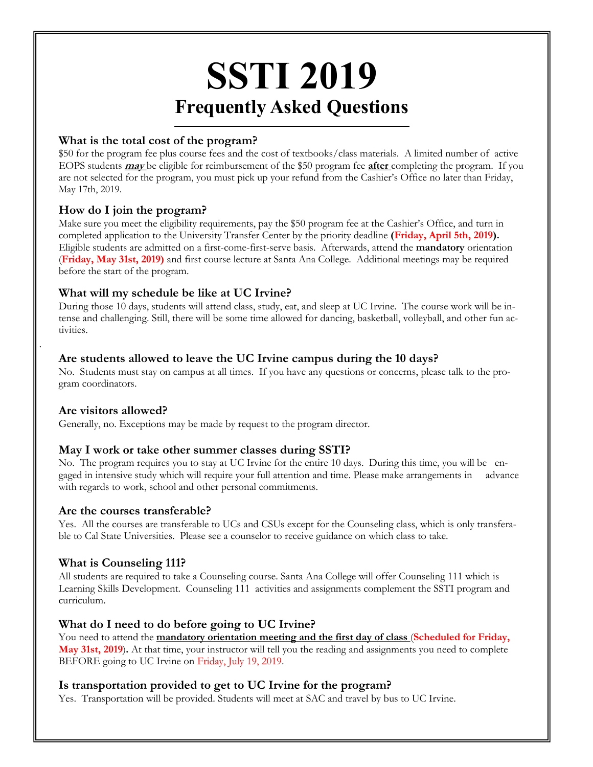### **SSTI 2019 Frequently Asked Questions**

#### **What is the total cost of the program?**

\$50 for the program fee plus course fees and the cost of textbooks/class materials. A limited number of active EOPS students **may** be eligible for reimbursement of the \$50 program fee **after** completing the program. If you are not selected for the program, you must pick up your refund from the Cashier's Office no later than Friday, May 17th, 2019.

#### **How do I join the program?**

Make sure you meet the eligibility requirements, pay the \$50 program fee at the Cashier's Office, and turn in completed application to the University Transfer Center by the priority deadline **(Friday, April 5th, 2019).**  Eligible students are admitted on a first-come-first-serve basis. Afterwards, attend the **mandatory** orientation (**Friday, May 31st, 2019)** and first course lecture at Santa Ana College. Additional meetings may be required before the start of the program.

#### **What will my schedule be like at UC Irvine?**

During those 10 days, students will attend class, study, eat, and sleep at UC Irvine. The course work will be intense and challenging. Still, there will be some time allowed for dancing, basketball, volleyball, and other fun activities.

#### **Are students allowed to leave the UC Irvine campus during the 10 days?**

No. Students must stay on campus at all times. If you have any questions or concerns, please talk to the program coordinators.

#### **Are visitors allowed?**

.

Generally, no. Exceptions may be made by request to the program director.

#### **May I work or take other summer classes during SSTI?**

No. The program requires you to stay at UC Irvine for the entire 10 days. During this time, you will be engaged in intensive study which will require your full attention and time. Please make arrangements in advance with regards to work, school and other personal commitments.

#### **Are the courses transferable?**

Yes. All the courses are transferable to UCs and CSUs except for the Counseling class, which is only transferable to Cal State Universities. Please see a counselor to receive guidance on which class to take.

#### **What is Counseling 111?**

All students are required to take a Counseling course. Santa Ana College will offer Counseling 111 which is Learning Skills Development. Counseling 111 activities and assignments complement the SSTI program and curriculum.

#### **What do I need to do before going to UC Irvine?**

You need to attend the **mandatory orientation meeting and the first day of class** (**Scheduled for Friday, May 31st, 2019**)**.** At that time, your instructor will tell you the reading and assignments you need to complete BEFORE going to UC Irvine on Friday, July 19, 2019.

#### **Is transportation provided to get to UC Irvine for the program?**

Yes. Transportation will be provided. Students will meet at SAC and travel by bus to UC Irvine.